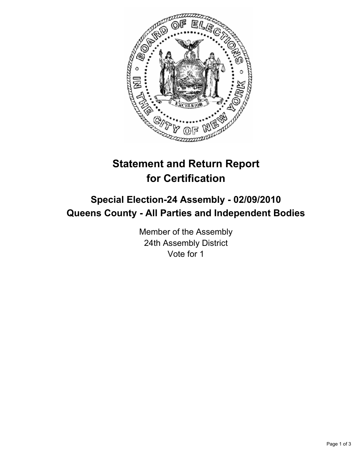

# **Statement and Return Report for Certification**

## **Special Election-24 Assembly - 02/09/2010 Queens County - All Parties and Independent Bodies**

Member of the Assembly 24th Assembly District Vote for 1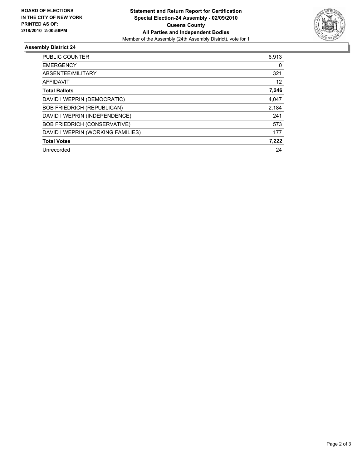

### **Assembly District 24**

| <b>PUBLIC COUNTER</b>               | 6,913 |
|-------------------------------------|-------|
| <b>EMERGENCY</b>                    | 0     |
| ABSENTEE/MILITARY                   | 321   |
| <b>AFFIDAVIT</b>                    | 12    |
| <b>Total Ballots</b>                | 7,246 |
| DAVID I WEPRIN (DEMOCRATIC)         | 4,047 |
| <b>BOB FRIEDRICH (REPUBLICAN)</b>   | 2,184 |
| DAVID I WEPRIN (INDEPENDENCE)       | 241   |
| <b>BOB FRIEDRICH (CONSERVATIVE)</b> | 573   |
| DAVID I WEPRIN (WORKING FAMILIES)   | 177   |
| <b>Total Votes</b>                  | 7,222 |
| Unrecorded                          | 24    |